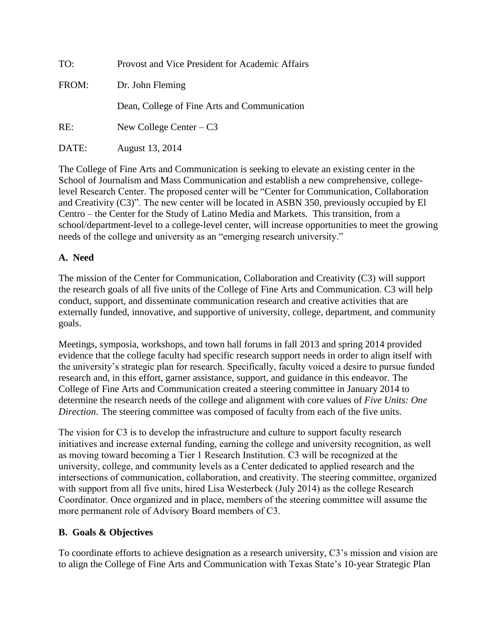| TO:   | Provost and Vice President for Academic Affairs |
|-------|-------------------------------------------------|
| FROM: | Dr. John Fleming                                |
|       | Dean, College of Fine Arts and Communication    |
| RE:   | New College Center $-C3$                        |
| DATE: | August 13, 2014                                 |

The College of Fine Arts and Communication is seeking to elevate an existing center in the School of Journalism and Mass Communication and establish a new comprehensive, collegelevel Research Center. The proposed center will be "Center for Communication, Collaboration and Creativity (C3)". The new center will be located in ASBN 350, previously occupied by El Centro – the Center for the Study of Latino Media and Markets. This transition, from a school/department-level to a college-level center, will increase opportunities to meet the growing needs of the college and university as an "emerging research university."

### **A. Need**

The mission of the Center for Communication, Collaboration and Creativity (C3) will support the research goals of all five units of the College of Fine Arts and Communication. C3 will help conduct, support, and disseminate communication research and creative activities that are externally funded, innovative, and supportive of university, college, department, and community goals.

Meetings, symposia, workshops, and town hall forums in fall 2013 and spring 2014 provided evidence that the college faculty had specific research support needs in order to align itself with the university's strategic plan for research. Specifically, faculty voiced a desire to pursue funded research and, in this effort, garner assistance, support, and guidance in this endeavor. The College of Fine Arts and Communication created a steering committee in January 2014 to determine the research needs of the college and alignment with core values of *Five Units: One Direction*. The steering committee was composed of faculty from each of the five units.

The vision for C3 is to develop the infrastructure and culture to support faculty research initiatives and increase external funding, earning the college and university recognition, as well as moving toward becoming a Tier 1 Research Institution. C3 will be recognized at the university, college, and community levels as a Center dedicated to applied research and the intersections of communication, collaboration, and creativity. The steering committee, organized with support from all five units, hired Lisa Westerbeck (July 2014) as the college Research Coordinator. Once organized and in place, members of the steering committee will assume the more permanent role of Advisory Board members of C3.

#### **B. Goals & Objectives**

To coordinate efforts to achieve designation as a research university, C3's mission and vision are to align the College of Fine Arts and Communication with Texas State's 10-year Strategic Plan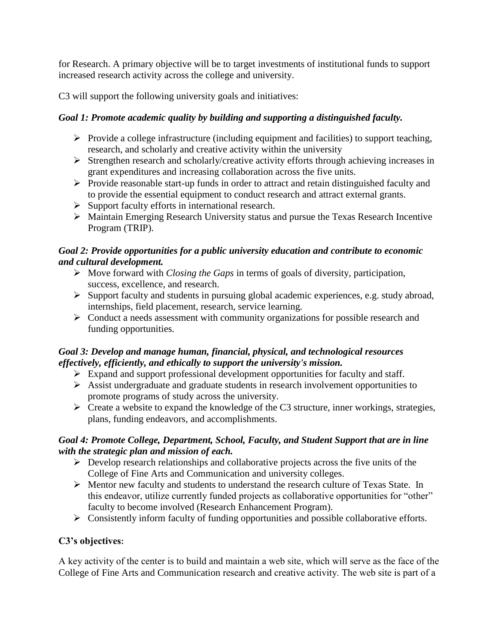for Research. A primary objective will be to target investments of institutional funds to support increased research activity across the college and university.

C3 will support the following university goals and initiatives:

# *Goal 1: Promote academic quality by building and supporting a distinguished faculty.*

- $\triangleright$  Provide a college infrastructure (including equipment and facilities) to support teaching, research, and scholarly and creative activity within the university
- $\triangleright$  Strengthen research and scholarly/creative activity efforts through achieving increases in grant expenditures and increasing collaboration across the five units.
- $\triangleright$  Provide reasonable start-up funds in order to attract and retain distinguished faculty and to provide the essential equipment to conduct research and attract external grants.
- $\triangleright$  Support faculty efforts in international research.
- Maintain Emerging Research University status and pursue the Texas Research Incentive Program (TRIP).

# *Goal 2: Provide opportunities for a public university education and contribute to economic and cultural development.*

- Move forward with *Closing the Gaps* in terms of goals of diversity, participation, success, excellence, and research.
- Support faculty and students in pursuing global academic experiences, e.g. study abroad, internships, field placement, research, service learning.
- $\triangleright$  Conduct a needs assessment with community organizations for possible research and funding opportunities.

## *Goal 3: Develop and manage human, financial, physical, and technological resources effectively, efficiently, and ethically to support the university's mission.*

- $\triangleright$  Expand and support professional development opportunities for faculty and staff.
- $\triangleright$  Assist undergraduate and graduate students in research involvement opportunities to promote programs of study across the university.
- $\triangleright$  Create a website to expand the knowledge of the C3 structure, inner workings, strategies, plans, funding endeavors, and accomplishments.

## *Goal 4: Promote College, Department, School, Faculty, and Student Support that are in line with the strategic plan and mission of each.*

- $\triangleright$  Develop research relationships and collaborative projects across the five units of the College of Fine Arts and Communication and university colleges.
- Mentor new faculty and students to understand the research culture of Texas State. In this endeavor, utilize currently funded projects as collaborative opportunities for "other" faculty to become involved (Research Enhancement Program).
- Consistently inform faculty of funding opportunities and possible collaborative efforts.

# **C3's objectives:**

A key activity of the center is to build and maintain a web site, which will serve as the face of the College of Fine Arts and Communication research and creative activity. The web site is part of a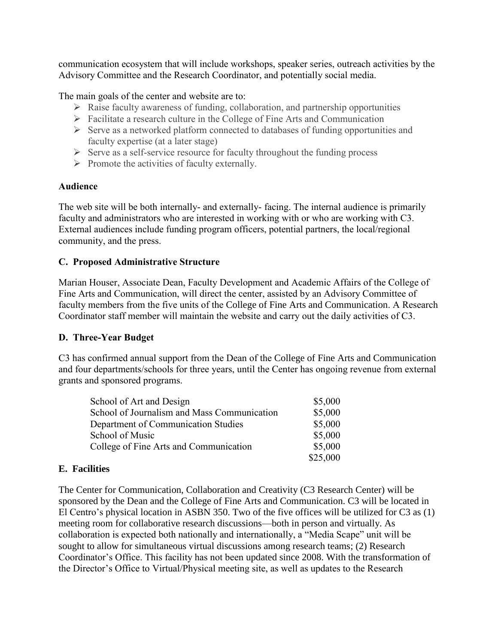communication ecosystem that will include workshops, speaker series, outreach activities by the Advisory Committee and the Research Coordinator, and potentially social media.

The main goals of the center and website are to:

- $\triangleright$  Raise faculty awareness of funding, collaboration, and partnership opportunities
- $\triangleright$  Facilitate a research culture in the College of Fine Arts and Communication
- $\triangleright$  Serve as a networked platform connected to databases of funding opportunities and faculty expertise (at a later stage)
- $\triangleright$  Serve as a self-service resource for faculty throughout the funding process
- $\triangleright$  Promote the activities of faculty externally.

#### **Audience**

The web site will be both internally- and externally- facing. The internal audience is primarily faculty and administrators who are interested in working with or who are working with C3. External audiences include funding program officers, potential partners, the local/regional community, and the press.

### **C. Proposed Administrative Structure**

Marian Houser, Associate Dean, Faculty Development and Academic Affairs of the College of Fine Arts and Communication, will direct the center, assisted by an Advisory Committee of faculty members from the five units of the College of Fine Arts and Communication. A Research Coordinator staff member will maintain the website and carry out the daily activities of C3.

#### **D. Three-Year Budget**

C3 has confirmed annual support from the Dean of the College of Fine Arts and Communication and four departments/schools for three years, until the Center has ongoing revenue from external grants and sponsored programs.

| School of Art and Design                    | \$5,000  |
|---------------------------------------------|----------|
| School of Journalism and Mass Communication | \$5,000  |
| Department of Communication Studies         | \$5,000  |
| School of Music                             | \$5,000  |
| College of Fine Arts and Communication      | \$5,000  |
|                                             | \$25,000 |

### **E. Facilities**

The Center for Communication, Collaboration and Creativity (C3 Research Center) will be sponsored by the Dean and the College of Fine Arts and Communication. C3 will be located in El Centro's physical location in ASBN 350. Two of the five offices will be utilized for C3 as (1) meeting room for collaborative research discussions—both in person and virtually. As collaboration is expected both nationally and internationally, a "Media Scape" unit will be sought to allow for simultaneous virtual discussions among research teams; (2) Research Coordinator's Office. This facility has not been updated since 2008. With the transformation of the Director's Office to Virtual/Physical meeting site, as well as updates to the Research